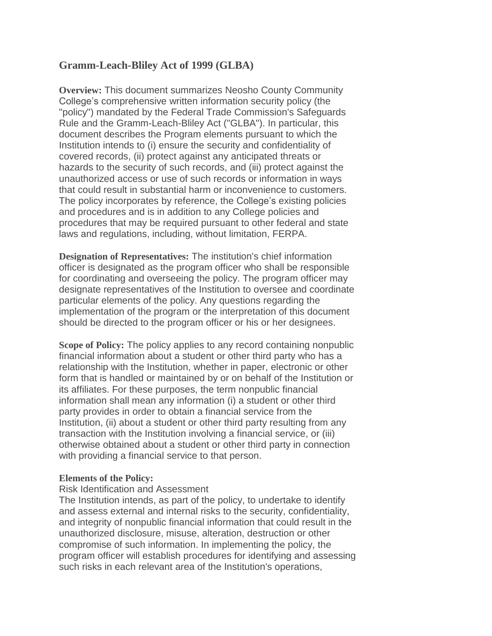# **Gramm-Leach-Bliley Act of 1999 (GLBA)**

**Overview:** This document summarizes Neosho County Community College's comprehensive written information security policy (the "policy") mandated by the Federal Trade Commission's Safeguards Rule and the Gramm-Leach-Bliley Act ("GLBA"). In particular, this document describes the Program elements pursuant to which the Institution intends to (i) ensure the security and confidentiality of covered records, (ii) protect against any anticipated threats or hazards to the security of such records, and (iii) protect against the unauthorized access or use of such records or information in ways that could result in substantial harm or inconvenience to customers. The policy incorporates by reference, the College's existing policies and procedures and is in addition to any College policies and procedures that may be required pursuant to other federal and state laws and regulations, including, without limitation, FERPA.

**Designation of Representatives:** The institution's chief information officer is designated as the program officer who shall be responsible for coordinating and overseeing the policy. The program officer may designate representatives of the Institution to oversee and coordinate particular elements of the policy. Any questions regarding the implementation of the program or the interpretation of this document should be directed to the program officer or his or her designees.

**Scope of Policy:** The policy applies to any record containing nonpublic financial information about a student or other third party who has a relationship with the Institution, whether in paper, electronic or other form that is handled or maintained by or on behalf of the Institution or its affiliates. For these purposes, the term nonpublic financial information shall mean any information (i) a student or other third party provides in order to obtain a financial service from the Institution, (ii) about a student or other third party resulting from any transaction with the Institution involving a financial service, or (iii) otherwise obtained about a student or other third party in connection with providing a financial service to that person.

### **Elements of the Policy:**

### Risk Identification and Assessment

The Institution intends, as part of the policy, to undertake to identify and assess external and internal risks to the security, confidentiality, and integrity of nonpublic financial information that could result in the unauthorized disclosure, misuse, alteration, destruction or other compromise of such information. In implementing the policy, the program officer will establish procedures for identifying and assessing such risks in each relevant area of the Institution's operations,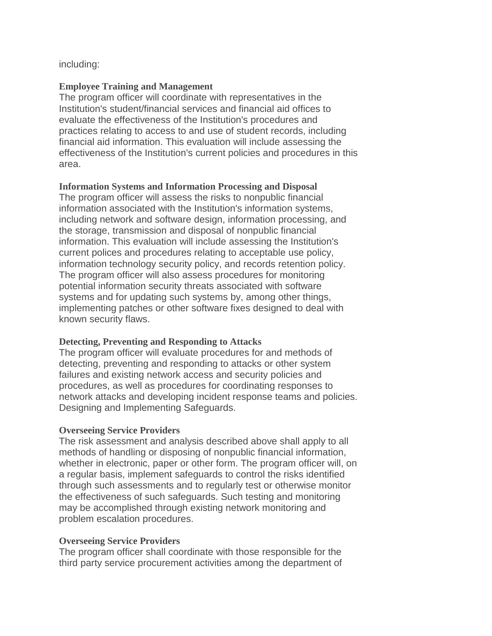including:

### **Employee Training and Management**

The program officer will coordinate with representatives in the Institution's student/financial services and financial aid offices to evaluate the effectiveness of the Institution's procedures and practices relating to access to and use of student records, including financial aid information. This evaluation will include assessing the effectiveness of the Institution's current policies and procedures in this area.

### **Information Systems and Information Processing and Disposal**

The program officer will assess the risks to nonpublic financial information associated with the Institution's information systems, including network and software design, information processing, and the storage, transmission and disposal of nonpublic financial information. This evaluation will include assessing the Institution's current polices and procedures relating to acceptable use policy, information technology security policy, and records retention policy. The program officer will also assess procedures for monitoring potential information security threats associated with software systems and for updating such systems by, among other things, implementing patches or other software fixes designed to deal with known security flaws.

### **Detecting, Preventing and Responding to Attacks**

The program officer will evaluate procedures for and methods of detecting, preventing and responding to attacks or other system failures and existing network access and security policies and procedures, as well as procedures for coordinating responses to network attacks and developing incident response teams and policies. Designing and Implementing Safeguards.

## **Overseeing Service Providers**

The risk assessment and analysis described above shall apply to all methods of handling or disposing of nonpublic financial information, whether in electronic, paper or other form. The program officer will, on a regular basis, implement safeguards to control the risks identified through such assessments and to regularly test or otherwise monitor the effectiveness of such safeguards. Such testing and monitoring may be accomplished through existing network monitoring and problem escalation procedures.

### **Overseeing Service Providers**

The program officer shall coordinate with those responsible for the third party service procurement activities among the department of